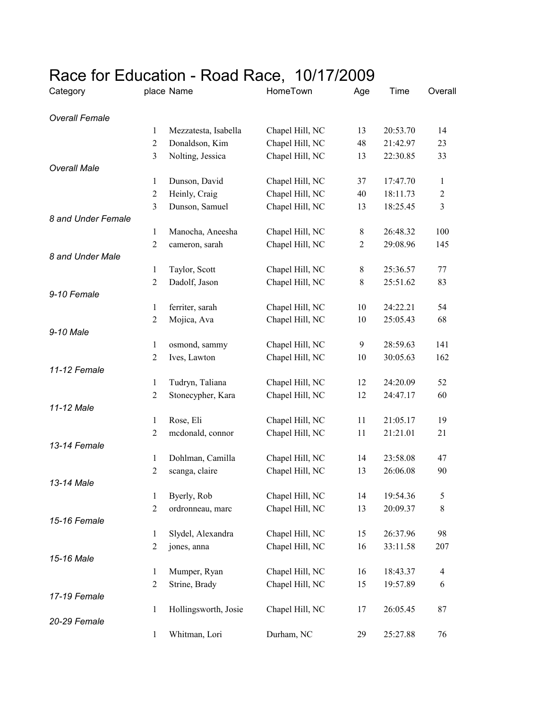## Race for Education - Road Race, 10/17/2009

| Category              |                                | place Name           | HomeTown        | Age            | Time     | Overall          |
|-----------------------|--------------------------------|----------------------|-----------------|----------------|----------|------------------|
| <b>Overall Female</b> |                                |                      |                 |                |          |                  |
|                       | 1                              | Mezzatesta, Isabella | Chapel Hill, NC | 13             | 20:53.70 | 14               |
|                       | $\overline{2}$                 | Donaldson, Kim       | Chapel Hill, NC | 48             | 21:42.97 | 23               |
|                       | $\mathfrak{Z}$                 | Nolting, Jessica     | Chapel Hill, NC | 13             | 22:30.85 | 33               |
| <b>Overall Male</b>   |                                |                      |                 |                |          |                  |
|                       | 1                              | Dunson, David        | Chapel Hill, NC | 37             | 17:47.70 | 1                |
|                       | $\overline{2}$                 | Heinly, Craig        | Chapel Hill, NC | 40             | 18:11.73 | $\boldsymbol{2}$ |
|                       | $\mathfrak{Z}$                 | Dunson, Samuel       | Chapel Hill, NC | 13             | 18:25.45 | $\mathfrak{Z}$   |
| 8 and Under Female    |                                |                      |                 |                |          |                  |
|                       | 1                              | Manocha, Aneesha     | Chapel Hill, NC | 8              | 26:48.32 | 100              |
|                       | $\boldsymbol{2}$               | cameron, sarah       | Chapel Hill, NC | $\overline{2}$ | 29:08.96 | 145              |
| 8 and Under Male      |                                | Taylor, Scott        | Chapel Hill, NC | $8\,$          | 25:36.57 | 77               |
|                       | $\mathbf{1}$<br>$\overline{c}$ | Dadolf, Jason        | Chapel Hill, NC | $8\,$          | 25:51.62 | 83               |
| 9-10 Female           |                                |                      |                 |                |          |                  |
|                       | $\mathbf{1}$                   | ferriter, sarah      | Chapel Hill, NC | 10             | 24:22.21 | 54               |
|                       | $\overline{c}$                 | Mojica, Ava          | Chapel Hill, NC | 10             | 25:05.43 | 68               |
| 9-10 Male             |                                |                      |                 |                |          |                  |
|                       | $\mathbf{1}$                   | osmond, sammy        | Chapel Hill, NC | 9              | 28:59.63 | 141              |
|                       | $\overline{2}$                 | Ives, Lawton         | Chapel Hill, NC | 10             | 30:05.63 | 162              |
| 11-12 Female          |                                |                      |                 |                |          |                  |
|                       | $\mathbf{1}$                   | Tudryn, Taliana      | Chapel Hill, NC | 12             | 24:20.09 | 52               |
|                       | $\overline{c}$                 | Stonecypher, Kara    | Chapel Hill, NC | 12             | 24:47.17 | 60               |
| 11-12 Male            |                                |                      |                 |                |          |                  |
|                       | $\mathbf{1}$                   | Rose, Eli            | Chapel Hill, NC | 11             | 21:05.17 | 19               |
|                       | $\overline{c}$                 | mcdonald, connor     | Chapel Hill, NC | 11             | 21:21.01 | 21               |
| 13-14 Female          |                                |                      |                 |                |          |                  |
|                       | $\mathbf{1}$                   | Dohlman, Camilla     | Chapel Hill, NC | 14             | 23:58.08 | 47               |
|                       | $\overline{c}$                 | scanga, claire       | Chapel Hill, NC | 13             | 26:06.08 | 90               |
| 13-14 Male            |                                |                      |                 |                |          |                  |
|                       | 1                              | Byerly, Rob          | Chapel Hill, NC | 14             | 19:54.36 | 5                |
|                       | $\overline{c}$                 | ordronneau, marc     | Chapel Hill, NC | 13             | 20:09.37 | $8\,$            |
| 15-16 Female          |                                |                      |                 |                |          |                  |
|                       | 1                              | Slydel, Alexandra    | Chapel Hill, NC | 15             | 26:37.96 | 98               |
| 15-16 Male            | $\overline{c}$                 | jones, anna          | Chapel Hill, NC | 16             | 33:11.58 | 207              |
|                       | 1                              | Mumper, Ryan         | Chapel Hill, NC | 16             | 18:43.37 | 4                |
|                       | $\overline{c}$                 | Strine, Brady        | Chapel Hill, NC | 15             | 19:57.89 | 6                |
| 17-19 Female          |                                |                      |                 |                |          |                  |
|                       | $\mathbf{1}$                   | Hollingsworth, Josie | Chapel Hill, NC | 17             | 26:05.45 | 87               |
| 20-29 Female          |                                |                      |                 |                |          |                  |
|                       | 1                              | Whitman, Lori        | Durham, NC      | 29             | 25:27.88 | 76               |
|                       |                                |                      |                 |                |          |                  |